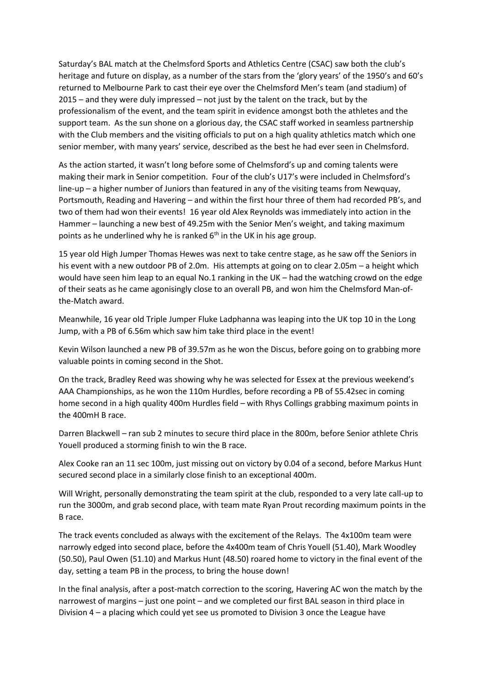Saturday's BAL match at the Chelmsford Sports and Athletics Centre (CSAC) saw both the club's heritage and future on display, as a number of the stars from the 'glory years' of the 1950's and 60's returned to Melbourne Park to cast their eye over the Chelmsford Men's team (and stadium) of 2015 – and they were duly impressed – not just by the talent on the track, but by the professionalism of the event, and the team spirit in evidence amongst both the athletes and the support team. As the sun shone on a glorious day, the CSAC staff worked in seamless partnership with the Club members and the visiting officials to put on a high quality athletics match which one senior member, with many years' service, described as the best he had ever seen in Chelmsford.

As the action started, it wasn't long before some of Chelmsford's up and coming talents were making their mark in Senior competition. Four of the club's U17's were included in Chelmsford's line-up – a higher number of Juniors than featured in any of the visiting teams from Newquay, Portsmouth, Reading and Havering – and within the first hour three of them had recorded PB's, and two of them had won their events! 16 year old Alex Reynolds was immediately into action in the Hammer – launching a new best of 49.25m with the Senior Men's weight, and taking maximum points as he underlined why he is ranked  $6<sup>th</sup>$  in the UK in his age group.

15 year old High Jumper Thomas Hewes was next to take centre stage, as he saw off the Seniors in his event with a new outdoor PB of 2.0m. His attempts at going on to clear 2.05m – a height which would have seen him leap to an equal No.1 ranking in the UK – had the watching crowd on the edge of their seats as he came agonisingly close to an overall PB, and won him the Chelmsford Man-ofthe-Match award.

Meanwhile, 16 year old Triple Jumper Fluke Ladphanna was leaping into the UK top 10 in the Long Jump, with a PB of 6.56m which saw him take third place in the event!

Kevin Wilson launched a new PB of 39.57m as he won the Discus, before going on to grabbing more valuable points in coming second in the Shot.

On the track, Bradley Reed was showing why he was selected for Essex at the previous weekend's AAA Championships, as he won the 110m Hurdles, before recording a PB of 55.42sec in coming home second in a high quality 400m Hurdles field – with Rhys Collings grabbing maximum points in the 400mH B race.

Darren Blackwell – ran sub 2 minutes to secure third place in the 800m, before Senior athlete Chris Youell produced a storming finish to win the B race.

Alex Cooke ran an 11 sec 100m, just missing out on victory by 0.04 of a second, before Markus Hunt secured second place in a similarly close finish to an exceptional 400m.

Will Wright, personally demonstrating the team spirit at the club, responded to a very late call-up to run the 3000m, and grab second place, with team mate Ryan Prout recording maximum points in the B race.

The track events concluded as always with the excitement of the Relays. The 4x100m team were narrowly edged into second place, before the 4x400m team of Chris Youell (51.40), Mark Woodley (50.50), Paul Owen (51.10) and Markus Hunt (48.50) roared home to victory in the final event of the day, setting a team PB in the process, to bring the house down!

In the final analysis, after a post-match correction to the scoring, Havering AC won the match by the narrowest of margins – just one point – and we completed our first BAL season in third place in Division 4 – a placing which could yet see us promoted to Division 3 once the League have